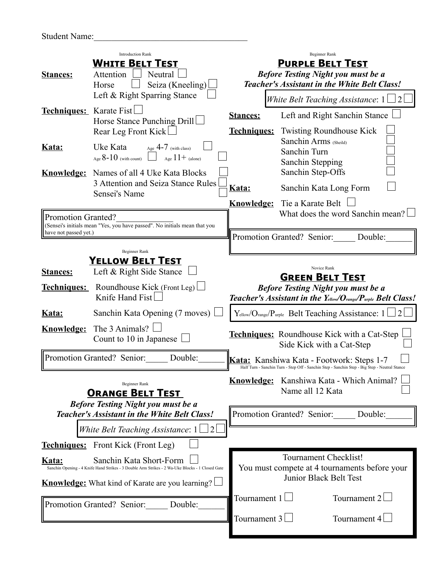| <b>Student Name:</b> |  |  |
|----------------------|--|--|
|----------------------|--|--|

| <b>Introduction Rank</b><br><b>WHITE BELT TEST</b><br>Neutral<br><b>Stances:</b><br>Attention<br>Seiza (Kneeling)<br>Horse                                                                     |                                                                                                                                                                   | Beginner Rank<br><b>PURPLE BELT TEST</b><br><b>Before Testing Night you must be a</b><br><b>Teacher's Assistant in the White Belt Class!</b> |                                                                                                                                                                               |  |
|------------------------------------------------------------------------------------------------------------------------------------------------------------------------------------------------|-------------------------------------------------------------------------------------------------------------------------------------------------------------------|----------------------------------------------------------------------------------------------------------------------------------------------|-------------------------------------------------------------------------------------------------------------------------------------------------------------------------------|--|
| Techniques: Karate Fist                                                                                                                                                                        | Left & Right Sparring Stance<br>Horse Stance Punching Drill                                                                                                       | <b>Stances:</b>                                                                                                                              | White Belt Teaching Assistance: $1 \Box 2$<br>Left and Right Sanchin Stance                                                                                                   |  |
| Kata:                                                                                                                                                                                          | Rear Leg Front Kick<br>Uke Kata<br>Age $4-7$ (with class)<br>Age $8-10$ (with count) $\Box$ Age $11+$ (alone)<br><b>Knowledge:</b> Names of all 4 Uke Kata Blocks | <b>Techniques:</b><br><u>Kata:</u><br><u>Knowledge:</u>                                                                                      | <b>Twisting Roundhouse Kick</b><br>Sanchin Arms (Sheild)<br>Sanchin Turn<br>Sanchin Stepping<br>Sanchin Step-Offs<br>Sanchin Kata Long Form<br>Tie a Karate Belt              |  |
|                                                                                                                                                                                                | 3 Attention and Seiza Stance Rules<br>Sensei's Name                                                                                                               |                                                                                                                                              |                                                                                                                                                                               |  |
| Promotion Granted?<br>have not passed yet.)                                                                                                                                                    | (Sensei's initials mean "Yes, you have passed". No initials mean that you                                                                                         |                                                                                                                                              | What does the word Sanchin mean?<br>Promotion Granted? Senior: Double:                                                                                                        |  |
| <b>Stances:</b>                                                                                                                                                                                | <b>Beginner Rank</b><br><b>YELLOW BELT TEST</b><br>Left & Right Side Stance<br><b>Techniques:</b> Roundhouse Kick (Front Leg)<br>Knife Hand Fist                  |                                                                                                                                              | Novice Rank<br><b>GREEN BELT TEST</b><br><b>Before Testing Night you must be a</b><br>Teacher's Assistant in the Yellow/Orange/Purple Belt Class!                             |  |
| Kata:                                                                                                                                                                                          | Sanchin Kata Opening (7 moves)<br><b>Knowledge:</b> The 3 Animals?<br>Count to 10 in Japanese                                                                     |                                                                                                                                              | $Y_{\text{ellow}}/O_{\text{range}}/P_{\text{uple}}$ Belt Teaching Assistance: $1 \sqcup 2$<br><b>Techniques:</b> Roundhouse Kick with a Cat-Step<br>Side Kick with a Cat-Step |  |
|                                                                                                                                                                                                | Promotion Granted? Senior:<br>Double:                                                                                                                             |                                                                                                                                              | <b>Kata:</b> Kanshiwa Kata - Footwork: Steps 1-7<br>Half Turn - Sanchin Turn - Step Off - Sanchin Step - Sanchin Step - Big Step - Neutral Stance                             |  |
|                                                                                                                                                                                                | <b>Beginner Rank</b><br><b>ORANGE BELT TEST</b>                                                                                                                   |                                                                                                                                              | Knowledge: Kanshiwa Kata - Which Animal?<br>Name all 12 Kata                                                                                                                  |  |
| <b>Before Testing Night you must be a</b><br><b>Teacher's Assistant in the White Belt Class!</b><br>White Belt Teaching Assistance: $1 \Box 2$                                                 |                                                                                                                                                                   |                                                                                                                                              | Promotion Granted? Senior: Double:                                                                                                                                            |  |
|                                                                                                                                                                                                | <b>Techniques:</b> Front Kick (Front Leg)                                                                                                                         |                                                                                                                                              |                                                                                                                                                                               |  |
| Sanchin Kata Short-Form<br>Kata:<br>Sanchin Opening - 4 Knife Hand Strikes - 3 Double Arm Strikes - 2 Wa-Uke Blocks - 1 Closed Gate<br><b>Knowledge:</b> What kind of Karate are you learning? |                                                                                                                                                                   | Tournament Checklist!<br>You must compete at 4 tournaments before your<br>Junior Black Belt Test                                             |                                                                                                                                                                               |  |
| Promotion Granted? Senior: Double:                                                                                                                                                             |                                                                                                                                                                   | Tournament $1 \Box$<br>Tournament 3 $\Box$                                                                                                   | Tournament $2 \Box$<br>Tournament $4 \Box$                                                                                                                                    |  |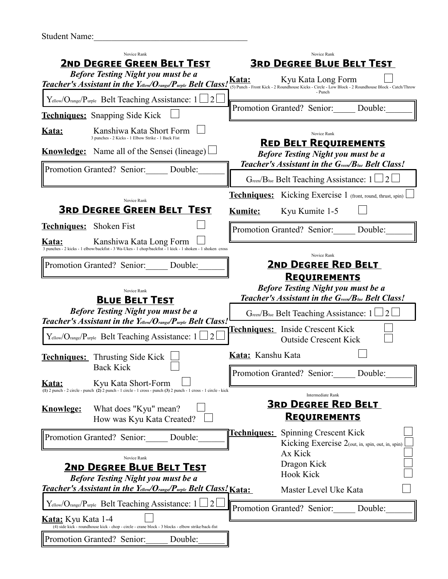| <b>Student Name:</b> |  |
|----------------------|--|
|----------------------|--|

| Novice Rank<br>2ND DEGREE GREEN BELT TEST<br><b>Before Testing Night you must be a</b><br>Teacher's Assistant in the Yellow/Orange/Purple Belt Class! Kata:  | Novice Rank<br><b>3RD DEGREE BLUE BELT TEST</b><br>Kyu Kata Long Form<br>(5) Punch - Front Kick - 2 Roundhouse Kicks - Circle - Low Block - 2 Roundhouse Block - Catch/Throw |  |  |
|--------------------------------------------------------------------------------------------------------------------------------------------------------------|------------------------------------------------------------------------------------------------------------------------------------------------------------------------------|--|--|
| Yellow/Orange/Purple Belt Teaching Assistance: 1                                                                                                             | - Punch<br>Promotion Granted? Senior: Double:                                                                                                                                |  |  |
| <b>Techniques:</b> Snapping Side Kick                                                                                                                        |                                                                                                                                                                              |  |  |
| Kanshiwa Kata Short Form<br><u>Kata:</u><br>3 punches - 2 Kicks - 1 Elbow Strike - 1 Back Fist                                                               | Novice Rank                                                                                                                                                                  |  |  |
| <b>Knowledge:</b> Name all of the Sensei (lineage)                                                                                                           | <b>RED BELT REQUIREMENTS</b><br><b>Before Testing Night you must be a</b>                                                                                                    |  |  |
| Promotion Granted? Senior: Double:                                                                                                                           | Teacher's Assistant in the Green/Blue Belt Class!<br>Green/Blue Belt Teaching Assistance: $1 \Box 2$                                                                         |  |  |
|                                                                                                                                                              | <b>Techniques:</b> Kicking Exercise 1 (front, round, thrust, spin)                                                                                                           |  |  |
| Novice Rank<br><b>3RD DEGREE GREEN BELT TEST</b>                                                                                                             | Kyu Kumite 1-5<br><b>Kumite:</b>                                                                                                                                             |  |  |
| <b>Techniques:</b> Shoken Fist                                                                                                                               | Promotion Granted? Senior: Double:                                                                                                                                           |  |  |
| Kanshiwa Kata Long Form<br><u>Kata:</u><br>3 punches - 2 kicks - 1 elbow/backfist - 3 Wa-Ukes - 1 chop/backfist - 1 kick - 1 shoken - 1 shoken cross         | Novice Rank                                                                                                                                                                  |  |  |
| Promotion Granted? Senior: Double:                                                                                                                           | <b>2ND DEGREE RED BELT</b><br><b>REQUIREMENTS</b>                                                                                                                            |  |  |
| Novice Rank<br><b>BLUE BELT TEST</b>                                                                                                                         | <b>Before Testing Night you must be a</b><br>Teacher's Assistant in the Green/Blue Belt Class!                                                                               |  |  |
| <b>Before Testing Night you must be a</b><br>Teacher's Assistant in the Yellow/Orange/Purple Belt Class!                                                     | Green/Blue Belt Teaching Assistance: 1                                                                                                                                       |  |  |
| $Y_{\text{ellow}}/O_{\text{range}}/P_{\text{urple}}$ Belt Teaching Assistance: 1                                                                             | Techniques: Inside Crescent Kick<br><b>Outside Crescent Kick</b>                                                                                                             |  |  |
| <b>Techniques:</b> Thrusting Side Kick<br><b>Back Kick</b>                                                                                                   | Kata: Kanshu Kata                                                                                                                                                            |  |  |
| Kyu Kata Short-Form<br><u>Kata:</u><br>$(1)$ 2 punch - 2 circle - punch $(2)$ 2 punch - 1 circle - 1 cross - punch $(3)$ 2 punch - 1 cross - 1 circle - kick | Promotion Granted? Senior:<br>Double:                                                                                                                                        |  |  |
| What does "Kyu" mean?<br><b>Knowlege:</b><br>How was Kyu Kata Created?                                                                                       | <b>Intermediate Rank</b><br><b>3RD DEGREE RED BELT</b><br><b>REQUIREMENTS</b>                                                                                                |  |  |
| Promotion Granted? Senior:<br>Double:                                                                                                                        | Spinning Crescent Kick<br><u> Techniques: </u><br>Kicking Exercise 2(out, in, spin, out, in, spin)                                                                           |  |  |
| Novice Rank<br><b>2ND DEGREE BLUE BELT TEST</b><br><b>Before Testing Night you must be a</b>                                                                 | Ax Kick<br>Dragon Kick<br><b>Hook Kick</b>                                                                                                                                   |  |  |
| <b>Teacher's Assistant in the Yellow/Orange/Purple Belt Class! Kata:</b>                                                                                     | Master Level Uke Kata                                                                                                                                                        |  |  |
| $Y_{\text{ellow}}/O_{\text{range}}/P_{\text{urple}}$ Belt Teaching Assistance: 1<br><b>Kata:</b> Kyu Kata 1-4                                                | Promotion Granted? Senior:<br>Double:                                                                                                                                        |  |  |
| (4) side kick - roundhouse kick - chop - circle - crane block - 3 blocks - elbow strike/back-fist<br>Promotion Granted? Senior:<br>Double:                   |                                                                                                                                                                              |  |  |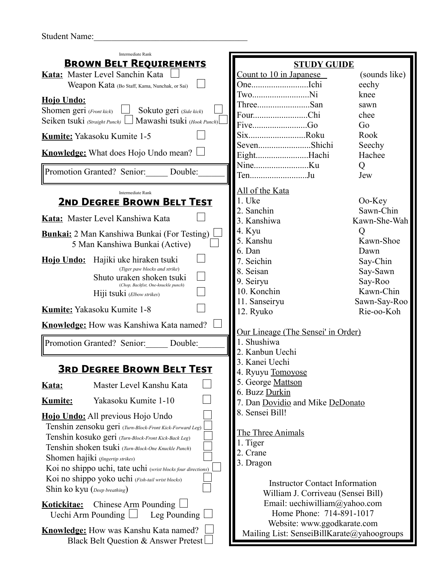Student Name:

| <b>Intermediate Rank</b>                                          |                                            |               |  |  |  |
|-------------------------------------------------------------------|--------------------------------------------|---------------|--|--|--|
| <b>BROWN BELT REQUIREMENTS</b>                                    | <b>STUDY GUIDE</b>                         |               |  |  |  |
| Kata: Master Level Sanchin Kata                                   | Count to 10 in Japanese                    | (sounds like) |  |  |  |
| Weapon Kata (Bo Staff, Kama, Nunchak, or Sai)                     |                                            | eechy         |  |  |  |
|                                                                   | TwoNi                                      | knee          |  |  |  |
| Hojo Undo:                                                        | ThreeSan                                   | sawn          |  |  |  |
| Sokuto geri (Side kick)<br>Shomen geri (Front kick)               | FourChi                                    | chee          |  |  |  |
| Mawashi tsuki (Hook Punch)<br>Seiken tsuki (Straight Punch)       | FiveGo                                     | Go            |  |  |  |
| <b>Kumite:</b> Yakasoku Kumite 1-5                                | SixRoku                                    | Rook          |  |  |  |
| <b>Knowledge:</b> What does Hojo Undo mean? $\Box$                | SevenShichi                                | Seechy        |  |  |  |
|                                                                   | EightHachi                                 | Hachee        |  |  |  |
| Promotion Granted? Senior: Double:                                | TenJu                                      | Q<br>Jew      |  |  |  |
| <b>Intermediate Rank</b>                                          | All of the Kata                            |               |  |  |  |
| <b>2ND DEGREE BROWN BELT TEST</b>                                 | 1. Uke                                     | Oo-Key        |  |  |  |
|                                                                   | 2. Sanchin                                 | Sawn-Chin     |  |  |  |
| Kata: Master Level Kanshiwa Kata                                  | 3. Kanshiwa                                | Kawn-She-Wah  |  |  |  |
| <b>Bunkai:</b> 2 Man Kanshiwa Bunkai (For Testing)                | 4. Kyu                                     | Q             |  |  |  |
| 5 Man Kanshiwa Bunkai (Active)                                    | 5. Kanshu                                  | Kawn-Shoe     |  |  |  |
|                                                                   | 6. Dan                                     | Dawn          |  |  |  |
| Hojo Undo: Hajiki uke hiraken tsuki                               | 7. Seichin                                 | Say-Chin      |  |  |  |
| (Tiger paw blocks and strike)                                     | 8. Seisan                                  | Say-Sawn      |  |  |  |
| Shuto uraken shoken tsuki                                         | 9. Seiryu                                  | Say-Roo       |  |  |  |
| (Chop, Backfist, One-knuckle punch)<br>Hiji tsuki (Elbow strikes) | 10. Konchin                                | Kawn-Chin     |  |  |  |
|                                                                   | 11. Sanseiryu                              | Sawn-Say-Roo  |  |  |  |
| <b>Kumite:</b> Yakasoku Kumite 1-8                                | 12. Ryuko                                  | Rie-oo-Koh    |  |  |  |
| <b>Knowledge:</b> How was Kanshiwa Kata named?                    | Our Lineage (The Sensei' in Order)         |               |  |  |  |
| Promotion Granted? Senior: Double:                                | 1. Shushiwa                                |               |  |  |  |
|                                                                   | 2. Kanbun Uechi                            |               |  |  |  |
|                                                                   | 3. Kanei Uechi                             |               |  |  |  |
| <b>3RD DEGREE BROWN BELT TEST</b>                                 | 4. Ryuyu Tomoyose                          |               |  |  |  |
|                                                                   | George Mattson                             |               |  |  |  |
| Master Level Kanshu Kata<br>Kata:                                 | 6. Buzz Durkin                             |               |  |  |  |
| Yakasoku Kumite 1-10<br><b>Kumite:</b>                            | 7. Dan Dovidio and Mike DeDonato           |               |  |  |  |
|                                                                   | 8. Sensei Bill!                            |               |  |  |  |
| Hojo Undo: All previous Hojo Undo                                 |                                            |               |  |  |  |
| Tenshin zensoku geri (Turn-Block-Front Kick-Forward Leg)          | The Three Animals                          |               |  |  |  |
| Tenshin kosuko geri (Turn-Block-Front Kick-Back Leg)              | 1. Tiger                                   |               |  |  |  |
| Tenshin shoken tsuki (Turn-Block-One Knuckle Punch)               | Crane                                      |               |  |  |  |
| Shomen hajiki (fingertip strikes)                                 | 3. Dragon                                  |               |  |  |  |
| Koi no shippo uchi, tate uchi (wrist blocks four directions)      |                                            |               |  |  |  |
| Koi no shippo yoko uchi (Fish-tail wrist blocks)                  | <b>Instructor Contact Information</b>      |               |  |  |  |
| Shin ko kyu (Deep breathing)                                      | William J. Corriveau (Sensei Bill)         |               |  |  |  |
| Chinese Arm Pounding<br>Kotickitae:                               | Email: uechiwilliam@yahoo.com              |               |  |  |  |
| Uechi Arm Pounding<br>Leg Pounding                                | Home Phone: 714-891-1017                   |               |  |  |  |
|                                                                   | Website: www.ggodkarate.com                |               |  |  |  |
| <b>Knowledge:</b> How was Kanshu Kata named?                      | Mailing List: SenseiBillKarate@yahoogroups |               |  |  |  |
| Black Belt Question & Answer Pretest                              |                                            |               |  |  |  |